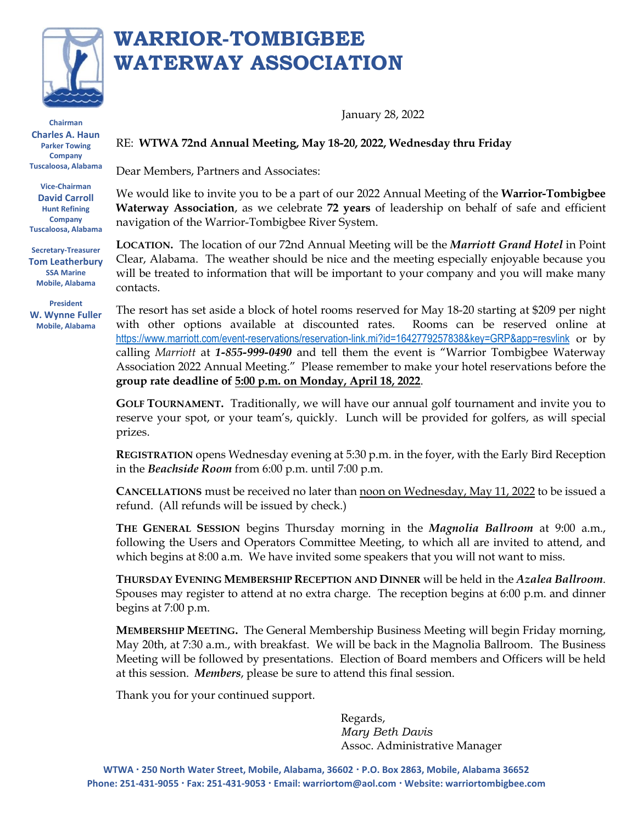

**Chairman Charles A. Haun Parker Towing Company Tuscaloosa, Alabama**

**Vice-Chairman David Carroll Hunt Refining Company Tuscaloosa, Alabama**

**Secretary-Treasurer Tom Leatherbury SSA Marine Mobile, Alabama**

**President W. Wynne Fuller Mobile, Alabama**

## **WARRIOR-TOMBIGBEE WATERWAY ASSOCIATION**

January 28, 2022

RE: **WTWA 72nd Annual Meeting, May 18-20, 2022, Wednesday thru Friday**

Dear Members, Partners and Associates:

We would like to invite you to be a part of our 2022 Annual Meeting of the **Warrior-Tombigbee Waterway Association**, as we celebrate **72 years** of leadership on behalf of safe and efficient navigation of the Warrior-Tombigbee River System.

**LOCATION.** The location of our 72nd Annual Meeting will be the *Marriott Grand Hotel* in Point Clear, Alabama. The weather should be nice and the meeting especially enjoyable because you will be treated to information that will be important to your company and you will make many contacts.

The resort has set aside a block of hotel rooms reserved for May 18-20 starting at \$209 per night with other options available at discounted rates. Rooms can be reserved online at <https://www.marriott.com/event-reservations/reservation-link.mi?id=1642779257838&key=GRP&app=resvlink> or by calling *Marriott* at *1-855-999-0490* and tell them the event is "Warrior Tombigbee Waterway Association 2022 Annual Meeting." Please remember to make your hotel reservations before the **group rate deadline of 5:00 p.m. on Monday, April 18, 2022**.

**GOLF TOURNAMENT.** Traditionally, we will have our annual golf tournament and invite you to reserve your spot, or your team's, quickly. Lunch will be provided for golfers, as will special prizes.

**REGISTRATION** opens Wednesday evening at 5:30 p.m. in the foyer, with the Early Bird Reception in the *Beachside Room* from 6:00 p.m. until 7:00 p.m.

**CANCELLATIONS** must be received no later than noon on Wednesday, May 11, 2022 to be issued a refund. (All refunds will be issued by check.)

**THE GENERAL SESSION** begins Thursday morning in the *Magnolia Ballroom* at 9:00 a.m., following the Users and Operators Committee Meeting, to which all are invited to attend, and which begins at 8:00 a.m. We have invited some speakers that you will not want to miss.

**THURSDAY EVENING MEMBERSHIP RECEPTION AND DINNER** will be held in the *Azalea Ballroom*. Spouses may register to attend at no extra charge. The reception begins at 6:00 p.m. and dinner begins at 7:00 p.m.

**MEMBERSHIP MEETING.** The General Membership Business Meeting will begin Friday morning, May 20th, at 7:30 a.m., with breakfast. We will be back in the Magnolia Ballroom. The Business Meeting will be followed by presentations. Election of Board members and Officers will be held at this session. *Members*, please be sure to attend this final session.

Thank you for your continued support.

 Regards, *Mary Beth Davis* Assoc. Administrative Manager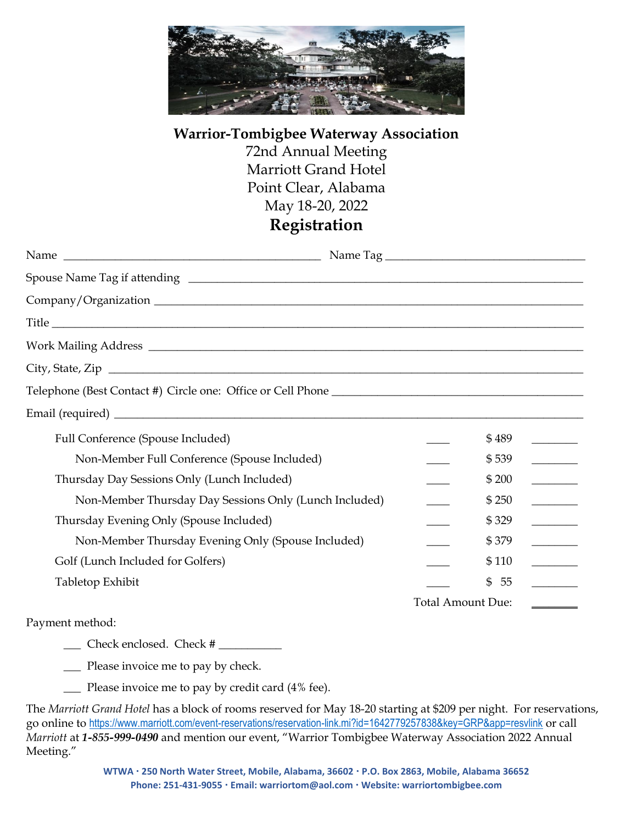

## **Warrior-Tombigbee Waterway Association** 72nd Annual Meeting Marriott Grand Hotel Point Clear, Alabama May 18-20, 2022 **Registration**

| Full Conference (Spouse Included)                      | \$489<br>$\mathcal{L}^{\text{max}}_{\text{max}}$ , and $\mathcal{L}^{\text{max}}_{\text{max}}$ |
|--------------------------------------------------------|------------------------------------------------------------------------------------------------|
| Non-Member Full Conference (Spouse Included)           | \$539                                                                                          |
| Thursday Day Sessions Only (Lunch Included)            | \$200<br><u> Tanzania (</u>                                                                    |
| Non-Member Thursday Day Sessions Only (Lunch Included) | \$250<br><u> a shekara t</u>                                                                   |
| Thursday Evening Only (Spouse Included)                | \$329                                                                                          |
| Non-Member Thursday Evening Only (Spouse Included)     | \$379<br><u>and the state</u>                                                                  |
| Golf (Lunch Included for Golfers)                      | \$110                                                                                          |
| Tabletop Exhibit                                       | \$55                                                                                           |
|                                                        | <b>Total Amount Due:</b>                                                                       |

Payment method:

\_\_\_ Check enclosed. Check # \_\_\_\_\_\_\_\_\_\_\_

\_\_\_ Please invoice me to pay by check.

\_\_\_ Please invoice me to pay by credit card (4% fee).

The *Marriott Grand Hotel* has a block of rooms reserved for May 18-20 starting at \$209 per night. For reservations, go online to <https://www.marriott.com/event-reservations/reservation-link.mi?id=1642779257838&key=GRP&app=resvlink> or call *Marriott* at *1-855-999-0490* and mention our event, "Warrior Tombigbee Waterway Association 2022 Annual Meeting."